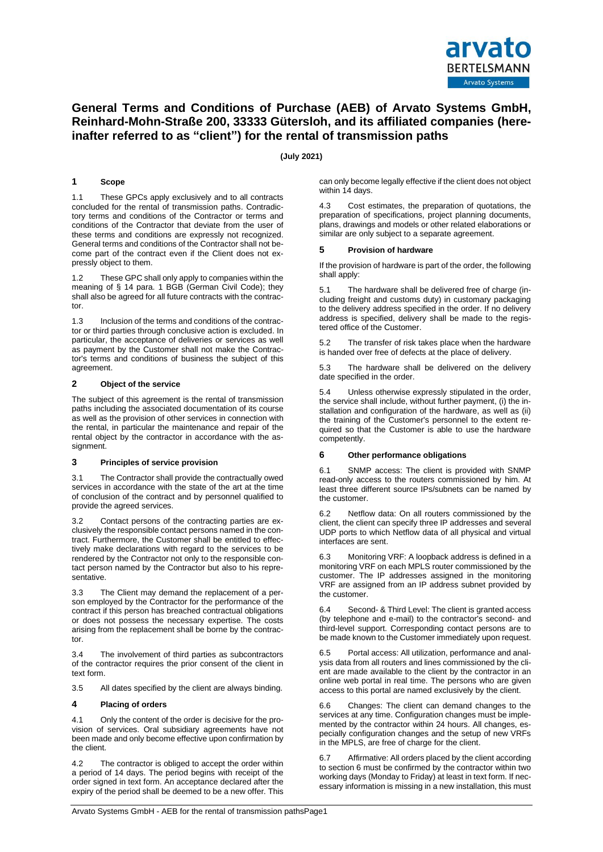

# **General Terms and Conditions of Purchase (AEB) of Arvato Systems GmbH, Reinhard-Mohn-Straße 200, 33333 Gütersloh, and its affiliated companies (hereinafter referred to as "client") for the rental of transmission paths**

**(July 2021)**

# **1 Scope**

1.1 These GPCs apply exclusively and to all contracts concluded for the rental of transmission paths. Contradictory terms and conditions of the Contractor or terms and conditions of the Contractor that deviate from the user of these terms and conditions are expressly not recognized. General terms and conditions of the Contractor shall not become part of the contract even if the Client does not expressly object to them.

These GPC shall only apply to companies within the meaning of § 14 para. 1 BGB (German Civil Code); they shall also be agreed for all future contracts with the contractor.

1.3 Inclusion of the terms and conditions of the contractor or third parties through conclusive action is excluded. In particular, the acceptance of deliveries or services as well as payment by the Customer shall not make the Contractor's terms and conditions of business the subject of this agreement.

# **2 Object of the service**

The subject of this agreement is the rental of transmission paths including the associated documentation of its course as well as the provision of other services in connection with the rental, in particular the maintenance and repair of the rental object by the contractor in accordance with the assignment.

# **3 Principles of service provision**

3.1 The Contractor shall provide the contractually owed services in accordance with the state of the art at the time of conclusion of the contract and by personnel qualified to provide the agreed services.

3.2 Contact persons of the contracting parties are exclusively the responsible contact persons named in the contract. Furthermore, the Customer shall be entitled to effectively make declarations with regard to the services to be rendered by the Contractor not only to the responsible contact person named by the Contractor but also to his representative.

3.3 The Client may demand the replacement of a person employed by the Contractor for the performance of the contract if this person has breached contractual obligations or does not possess the necessary expertise. The costs arising from the replacement shall be borne by the contractor.

3.4 The involvement of third parties as subcontractors of the contractor requires the prior consent of the client in text form.

3.5 All dates specified by the client are always binding.

# **4 Placing of orders**

4.1 Only the content of the order is decisive for the provision of services. Oral subsidiary agreements have not been made and only become effective upon confirmation by the client.

4.2 The contractor is obliged to accept the order within a period of 14 days. The period begins with receipt of the order signed in text form. An acceptance declared after the expiry of the period shall be deemed to be a new offer. This can only become legally effective if the client does not object within 14 days.

4.3 Cost estimates, the preparation of quotations, the preparation of specifications, project planning documents, plans, drawings and models or other related elaborations or similar are only subject to a separate agreement.

# **5 Provision of hardware**

If the provision of hardware is part of the order, the following shall apply:

5.1 The hardware shall be delivered free of charge (including freight and customs duty) in customary packaging to the delivery address specified in the order. If no delivery address is specified, delivery shall be made to the registered office of the Customer.

5.2 The transfer of risk takes place when the hardware is handed over free of defects at the place of delivery.

5.3 The hardware shall be delivered on the delivery date specified in the order.

5.4 Unless otherwise expressly stipulated in the order, the service shall include, without further payment, (i) the installation and configuration of the hardware, as well as (ii) the training of the Customer's personnel to the extent required so that the Customer is able to use the hardware competently.

# **6 Other performance obligations**

6.1 SNMP access: The client is provided with SNMP read-only access to the routers commissioned by him. At least three different source IPs/subnets can be named by the customer.

6.2 Netflow data: On all routers commissioned by the client, the client can specify three IP addresses and several UDP ports to which Netflow data of all physical and virtual interfaces are sent.

6.3 Monitoring VRF: A loopback address is defined in a monitoring VRF on each MPLS router commissioned by the customer. The IP addresses assigned in the monitoring VRF are assigned from an IP address subnet provided by the customer.

6.4 Second- & Third Level: The client is granted access (by telephone and e-mail) to the contractor's second- and third-level support. Corresponding contact persons are to be made known to the Customer immediately upon request.

6.5 Portal access: All utilization, performance and analysis data from all routers and lines commissioned by the client are made available to the client by the contractor in an online web portal in real time. The persons who are given access to this portal are named exclusively by the client.

6.6 Changes: The client can demand changes to the services at any time. Configuration changes must be implemented by the contractor within 24 hours. All changes, especially configuration changes and the setup of new VRFs in the MPLS, are free of charge for the client.

6.7 Affirmative: All orders placed by the client according to section 6 must be confirmed by the contractor within two working days (Monday to Friday) at least in text form. If necessary information is missing in a new installation, this must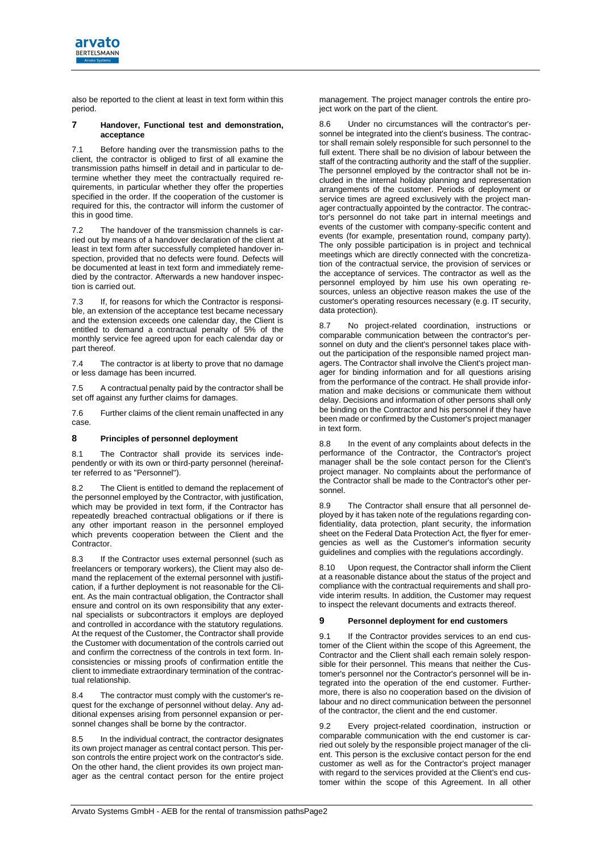

also be reported to the client at least in text form within this period.

#### **7 Handover, Functional test and demonstration, acceptance**

7.1 Before handing over the transmission paths to the client, the contractor is obliged to first of all examine the transmission paths himself in detail and in particular to determine whether they meet the contractually required requirements, in particular whether they offer the properties specified in the order. If the cooperation of the customer is required for this, the contractor will inform the customer of this in good time.

7.2 The handover of the transmission channels is carried out by means of a handover declaration of the client at least in text form after successfully completed handover inspection, provided that no defects were found. Defects will be documented at least in text form and immediately remedied by the contractor. Afterwards a new handover inspection is carried out.

7.3 If, for reasons for which the Contractor is responsible, an extension of the acceptance test became necessary and the extension exceeds one calendar day, the Client is entitled to demand a contractual penalty of 5% of the monthly service fee agreed upon for each calendar day or part thereof.

7.4 The contractor is at liberty to prove that no damage or less damage has been incurred.

7.5 A contractual penalty paid by the contractor shall be set off against any further claims for damages.

7.6 Further claims of the client remain unaffected in any case.

# **8 Principles of personnel deployment**

8.1 The Contractor shall provide its services independently or with its own or third-party personnel (hereinafter referred to as "Personnel").

The Client is entitled to demand the replacement of the personnel employed by the Contractor, with justification, which may be provided in text form, if the Contractor has repeatedly breached contractual obligations or if there is any other important reason in the personnel employed which prevents cooperation between the Client and the Contractor.

8.3 If the Contractor uses external personnel (such as freelancers or temporary workers), the Client may also demand the replacement of the external personnel with justification, if a further deployment is not reasonable for the Client. As the main contractual obligation, the Contractor shall ensure and control on its own responsibility that any external specialists or subcontractors it employs are deployed and controlled in accordance with the statutory regulations. At the request of the Customer, the Contractor shall provide the Customer with documentation of the controls carried out and confirm the correctness of the controls in text form. Inconsistencies or missing proofs of confirmation entitle the client to immediate extraordinary termination of the contractual relationship.

The contractor must comply with the customer's request for the exchange of personnel without delay. Any additional expenses arising from personnel expansion or personnel changes shall be borne by the contractor.

8.5 In the individual contract, the contractor designates its own project manager as central contact person. This person controls the entire project work on the contractor's side. On the other hand, the client provides its own project manager as the central contact person for the entire project

management. The project manager controls the entire project work on the part of the client.

Under no circumstances will the contractor's personnel be integrated into the client's business. The contractor shall remain solely responsible for such personnel to the full extent. There shall be no division of labour between the staff of the contracting authority and the staff of the supplier. The personnel employed by the contractor shall not be included in the internal holiday planning and representation arrangements of the customer. Periods of deployment or service times are agreed exclusively with the project manager contractually appointed by the contractor. The contractor's personnel do not take part in internal meetings and events of the customer with company-specific content and events (for example, presentation round, company party). The only possible participation is in project and technical meetings which are directly connected with the concretization of the contractual service, the provision of services or the acceptance of services. The contractor as well as the personnel employed by him use his own operating resources, unless an objective reason makes the use of the customer's operating resources necessary (e.g. IT security, data protection).

8.7 No project-related coordination, instructions or comparable communication between the contractor's personnel on duty and the client's personnel takes place without the participation of the responsible named project managers. The Contractor shall involve the Client's project manager for binding information and for all questions arising from the performance of the contract. He shall provide information and make decisions or communicate them without delay. Decisions and information of other persons shall only be binding on the Contractor and his personnel if they have been made or confirmed by the Customer's project manager in text form.

8.8 In the event of any complaints about defects in the performance of the Contractor, the Contractor's project manager shall be the sole contact person for the Client's project manager. No complaints about the performance of the Contractor shall be made to the Contractor's other personnel.

8.9 The Contractor shall ensure that all personnel deployed by it has taken note of the regulations regarding confidentiality, data protection, plant security, the information sheet on the Federal Data Protection Act, the flyer for emergencies as well as the Customer's information security guidelines and complies with the regulations accordingly.

8.10 Upon request, the Contractor shall inform the Client at a reasonable distance about the status of the project and compliance with the contractual requirements and shall provide interim results. In addition, the Customer may request to inspect the relevant documents and extracts thereof.

# **9 Personnel deployment for end customers**

9.1 If the Contractor provides services to an end customer of the Client within the scope of this Agreement, the Contractor and the Client shall each remain solely responsible for their personnel. This means that neither the Customer's personnel nor the Contractor's personnel will be integrated into the operation of the end customer. Furthermore, there is also no cooperation based on the division of labour and no direct communication between the personnel of the contractor, the client and the end customer.

Every project-related coordination, instruction or comparable communication with the end customer is carried out solely by the responsible project manager of the client. This person is the exclusive contact person for the end customer as well as for the Contractor's project manager with regard to the services provided at the Client's end customer within the scope of this Agreement. In all other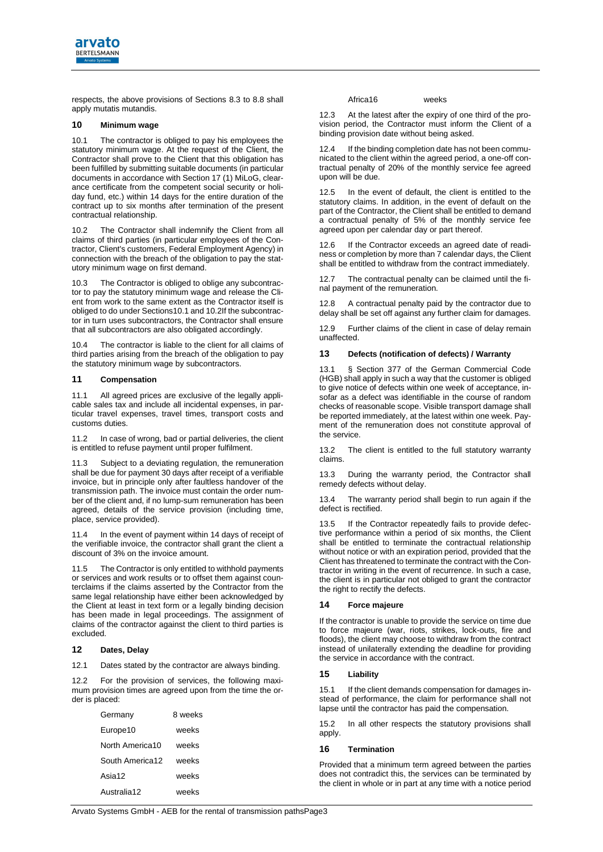

respects, the above provisions of Sections 8.3 to 8.8 shall apply mutatis mutandis.

# **10 Minimum wage**

<span id="page-2-0"></span>10.1 The contractor is obliged to pay his employees the statutory minimum wage. At the request of the Client, the Contractor shall prove to the Client that this obligation has been fulfilled by submitting suitable documents (in particular documents in accordance with Section 17 (1) MiLoG, clearance certificate from the competent social security or holiday fund, etc.) within 14 days for the entire duration of the contract up to six months after termination of the present contractual relationship.

<span id="page-2-1"></span>10.2 The Contractor shall indemnify the Client from all claims of third parties (in particular employees of the Contractor, Client's customers, Federal Employment Agency) in connection with the breach of the obligation to pay the statutory minimum wage on first demand.

10.3 The Contractor is obliged to oblige any subcontractor to pay the statutory minimum wage and release the Client from work to the same extent as the Contractor itself is obliged to do under Section[s10.1](#page-2-0) an[d 10.2I](#page-2-1)f the subcontractor in turn uses subcontractors, the Contractor shall ensure that all subcontractors are also obligated accordingly.

10.4 The contractor is liable to the client for all claims of third parties arising from the breach of the obligation to pay the statutory minimum wage by subcontractors.

# **11 Compensation**

11.1 All agreed prices are exclusive of the legally applicable sales tax and include all incidental expenses, in particular travel expenses, travel times, transport costs and customs duties.

11.2 In case of wrong, bad or partial deliveries, the client is entitled to refuse payment until proper fulfilment.

11.3 Subject to a deviating regulation, the remuneration shall be due for payment 30 days after receipt of a verifiable invoice, but in principle only after faultless handover of the transmission path. The invoice must contain the order number of the client and, if no lump-sum remuneration has been agreed, details of the service provision (including time, place, service provided).

11.4 In the event of payment within 14 days of receipt of the verifiable invoice, the contractor shall grant the client a discount of 3% on the invoice amount.

11.5 The Contractor is only entitled to withhold payments or services and work results or to offset them against counterclaims if the claims asserted by the Contractor from the same legal relationship have either been acknowledged by the Client at least in text form or a legally binding decision has been made in legal proceedings. The assignment of claims of the contractor against the client to third parties is excluded.

# **12 Dates, Delay**

12.1 Dates stated by the contractor are always binding.

12.2 For the provision of services, the following maximum provision times are agreed upon from the time the order is placed:

| Germany         | 8 weeks |
|-----------------|---------|
| Europe10        | weeks   |
| North America10 | weeks   |
| South America12 | weeks   |
| Asia12          | weeks   |
| Australia12     | weeks   |

Africa16 weeks

12.3 At the latest after the expiry of one third of the provision period, the Contractor must inform the Client of a binding provision date without being asked.

12.4 If the binding completion date has not been communicated to the client within the agreed period, a one-off contractual penalty of 20% of the monthly service fee agreed upon will be due.

12.5 In the event of default, the client is entitled to the statutory claims. In addition, in the event of default on the part of the Contractor, the Client shall be entitled to demand a contractual penalty of 5% of the monthly service fee agreed upon per calendar day or part thereof.

12.6 If the Contractor exceeds an agreed date of readiness or completion by more than 7 calendar days, the Client shall be entitled to withdraw from the contract immediately.

12.7 The contractual penalty can be claimed until the final payment of the remuneration.

12.8 A contractual penalty paid by the contractor due to delay shall be set off against any further claim for damages.

12.9 Further claims of the client in case of delay remain unaffected.

#### **13 Defects (notification of defects) / Warranty**

13.1 § Section 377 of the German Commercial Code (HGB) shall apply in such a way that the customer is obliged to give notice of defects within one week of acceptance, insofar as a defect was identifiable in the course of random checks of reasonable scope. Visible transport damage shall be reported immediately, at the latest within one week. Payment of the remuneration does not constitute approval of the service.

13.2 The client is entitled to the full statutory warranty claims.

13.3 During the warranty period, the Contractor shall remedy defects without delay.

13.4 The warranty period shall begin to run again if the defect is rectified.

13.5 If the Contractor repeatedly fails to provide defective performance within a period of six months, the Client shall be entitled to terminate the contractual relationship without notice or with an expiration period, provided that the Client has threatened to terminate the contract with the Contractor in writing in the event of recurrence. In such a case, the client is in particular not obliged to grant the contractor the right to rectify the defects.

# **14 Force majeure**

If the contractor is unable to provide the service on time due to force majeure (war, riots, strikes, lock-outs, fire and floods), the client may choose to withdraw from the contract instead of unilaterally extending the deadline for providing the service in accordance with the contract.

# **15 Liability**

15.1 If the client demands compensation for damages instead of performance, the claim for performance shall not lapse until the contractor has paid the compensation.

15.2 In all other respects the statutory provisions shall apply.

# **16 Termination**

Provided that a minimum term agreed between the parties does not contradict this, the services can be terminated by the client in whole or in part at any time with a notice period